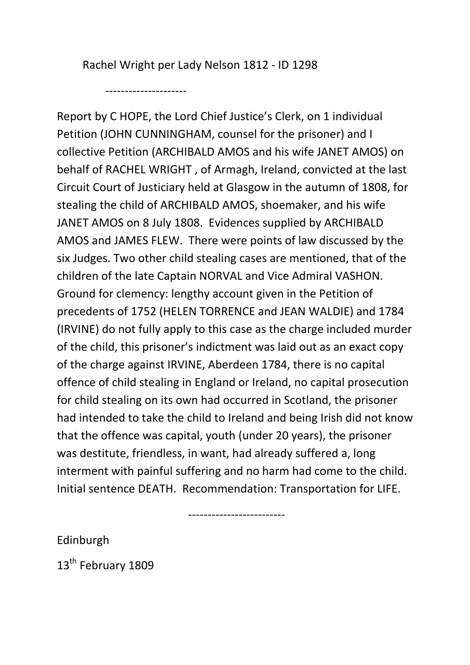Rachel Wright per Lady Nelson 1812 - ID 1298

---------------------

Report by C HOPE, the Lord Chief Justice's Clerk, on 1 individual Petition (JOHN CUNNINGHAM, counsel for the prisoner) and I collective Petition (ARCHIBALD AMOS and his wife JANET AMOS) on behalf of RACHEL WRIGHT , of Armagh, Ireland, convicted at the last Circuit Court of Justiciary held at Glasgow in the autumn of 1808, for stealing the child of ARCHIBALD AMOS, shoemaker, and his wife JANET AMOS on 8 July 1808. Evidences supplied by ARCHIBALD AMOS and JAMES FLEW. There were points of law discussed by the six Judges. Two other child stealing cases are mentioned, that of the children of the late Captain NORVAL and Vice Admiral VASHON. Ground for clemency: lengthy account given in the Petition of precedents of 1752 (HELEN TORRENCE and JEAN WALDIE) and 1784 (IRVINE) do not fully apply to this case as the charge included murder of the child, this prisoner's indictment was laid out as an exact copy of the charge against IRVINE, Aberdeen 1784, there is no capital offence of child stealing in England or Ireland, no capital prosecution for child stealing on its own had occurred in Scotland, the prisoner had intended to take the child to Ireland and being Irish did not know that the offence was capital, youth (under 20 years), the prisoner was destitute, friendless, in want, had already suffered a, long interment with painful suffering and no harm had come to the child. Initial sentence DEATH. Recommendation: Transportation for LIFE.

-------------------------

Edinburgh

13<sup>th</sup> February 1809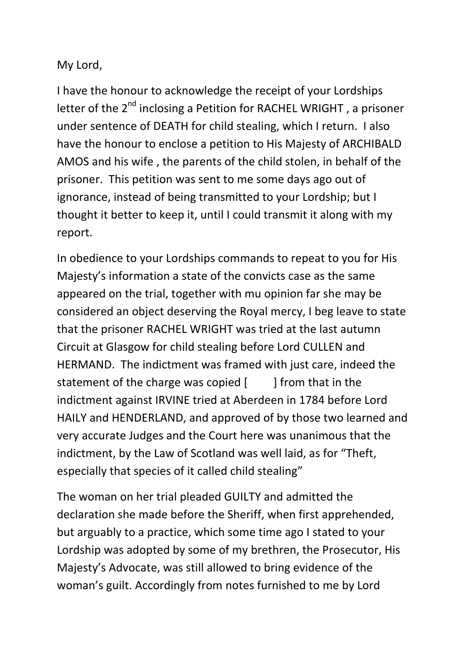## My Lord,

I have the honour to acknowledge the receipt of your Lordships letter of the 2<sup>nd</sup> inclosing a Petition for RACHEL WRIGHT, a prisoner under sentence of DEATH for child stealing, which I return. I also have the honour to enclose a petition to His Majesty of ARCHIBALD AMOS and his wife , the parents of the child stolen, in behalf of the prisoner. This petition was sent to me some days ago out of ignorance, instead of being transmitted to your Lordship; but I thought it better to keep it, until I could transmit it along with my report.

In obedience to your Lordships commands to repeat to you for His Majesty's information a state of the convicts case as the same appeared on the trial, together with mu opinion far she may be considered an object deserving the Royal mercy, I beg leave to state that the prisoner RACHEL WRIGHT was tried at the last autumn Circuit at Glasgow for child stealing before Lord CULLEN and HERMAND. The indictment was framed with just care, indeed the statement of the charge was copied  $[$  ] from that in the indictment against IRVINE tried at Aberdeen in 1784 before Lord HAILY and HENDERLAND, and approved of by those two learned and very accurate Judges and the Court here was unanimous that the indictment, by the Law of Scotland was well laid, as for "Theft, especially that species of it called child stealing"

The woman on her trial pleaded GUILTY and admitted the declaration she made before the Sheriff, when first apprehended, but arguably to a practice, which some time ago I stated to your Lordship was adopted by some of my brethren, the Prosecutor, His Majesty's Advocate, was still allowed to bring evidence of the woman's guilt. Accordingly from notes furnished to me by Lord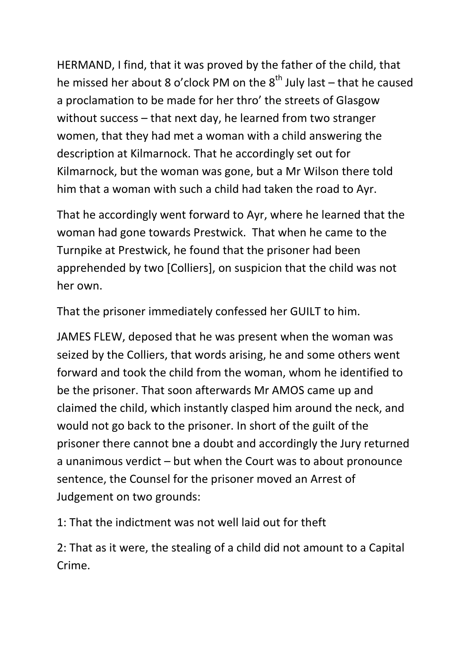HERMAND, I find, that it was proved by the father of the child, that he missed her about 8 o'clock PM on the  $8<sup>th</sup>$  July last – that he caused a proclamation to be made for her thro' the streets of Glasgow without success – that next day, he learned from two stranger women, that they had met a woman with a child answering the description at Kilmarnock. That he accordingly set out for Kilmarnock, but the woman was gone, but a Mr Wilson there told him that a woman with such a child had taken the road to Ayr.

That he accordingly went forward to Ayr, where he learned that the woman had gone towards Prestwick. That when he came to the Turnpike at Prestwick, he found that the prisoner had been apprehended by two [Colliers], on suspicion that the child was not her own.

That the prisoner immediately confessed her GUILT to him.

JAMES FLEW, deposed that he was present when the woman was seized by the Colliers, that words arising, he and some others went forward and took the child from the woman, whom he identified to be the prisoner. That soon afterwards Mr AMOS came up and claimed the child, which instantly clasped him around the neck, and would not go back to the prisoner. In short of the guilt of the prisoner there cannot bne a doubt and accordingly the Jury returned a unanimous verdict – but when the Court was to about pronounce sentence, the Counsel for the prisoner moved an Arrest of Judgement on two grounds:

1: That the indictment was not well laid out for theft

2: That as it were, the stealing of a child did not amount to a Capital Crime.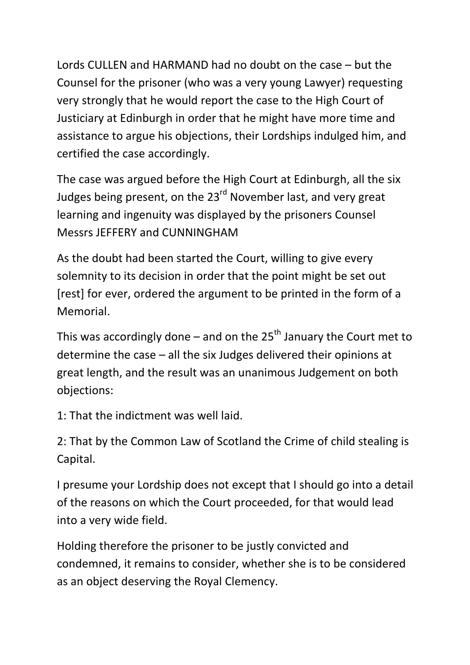Lords CULLEN and HARMAND had no doubt on the case – but the Counsel for the prisoner (who was a very young Lawyer) requesting very strongly that he would report the case to the High Court of Justiciary at Edinburgh in order that he might have more time and assistance to argue his objections, their Lordships indulged him, and certified the case accordingly.

The case was argued before the High Court at Edinburgh, all the six Judges being present, on the 23<sup>rd</sup> November last, and very great learning and ingenuity was displayed by the prisoners Counsel Messrs JEFFERY and CUNNINGHAM

As the doubt had been started the Court, willing to give every solemnity to its decision in order that the point might be set out [rest] for ever, ordered the argument to be printed in the form of a Memorial.

This was accordingly done – and on the  $25<sup>th</sup>$  January the Court met to determine the case – all the six Judges delivered their opinions at great length, and the result was an unanimous Judgement on both objections:

1: That the indictment was well laid.

2: That by the Common Law of Scotland the Crime of child stealing is Capital.

I presume your Lordship does not except that I should go into a detail of the reasons on which the Court proceeded, for that would lead into a very wide field.

Holding therefore the prisoner to be justly convicted and condemned, it remains to consider, whether she is to be considered as an object deserving the Royal Clemency.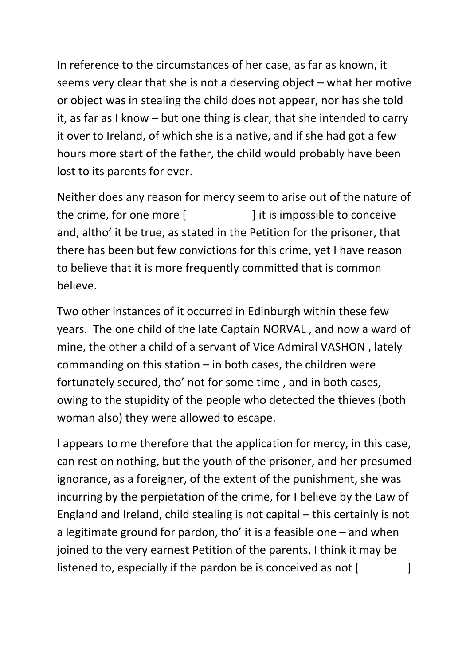In reference to the circumstances of her case, as far as known, it seems very clear that she is not a deserving object – what her motive or object was in stealing the child does not appear, nor has she told it, as far as I know – but one thing is clear, that she intended to carry it over to Ireland, of which she is a native, and if she had got a few hours more start of the father, the child would probably have been lost to its parents for ever.

Neither does any reason for mercy seem to arise out of the nature of the crime, for one more [ ] it is impossible to conceive and, altho' it be true, as stated in the Petition for the prisoner, that there has been but few convictions for this crime, yet I have reason to believe that it is more frequently committed that is common believe.

Two other instances of it occurred in Edinburgh within these few years. The one child of the late Captain NORVAL , and now a ward of mine, the other a child of a servant of Vice Admiral VASHON , lately commanding on this station  $-$  in both cases, the children were fortunately secured, tho' not for some time , and in both cases, owing to the stupidity of the people who detected the thieves (both woman also) they were allowed to escape.

I appears to me therefore that the application for mercy, in this case, can rest on nothing, but the youth of the prisoner, and her presumed ignorance, as a foreigner, of the extent of the punishment, she was incurring by the perpietation of the crime, for I believe by the Law of England and Ireland, child stealing is not capital – this certainly is not a legitimate ground for pardon, tho' it is a feasible one – and when joined to the very earnest Petition of the parents, I think it may be listened to, especially if the pardon be is conceived as not  $\lceil$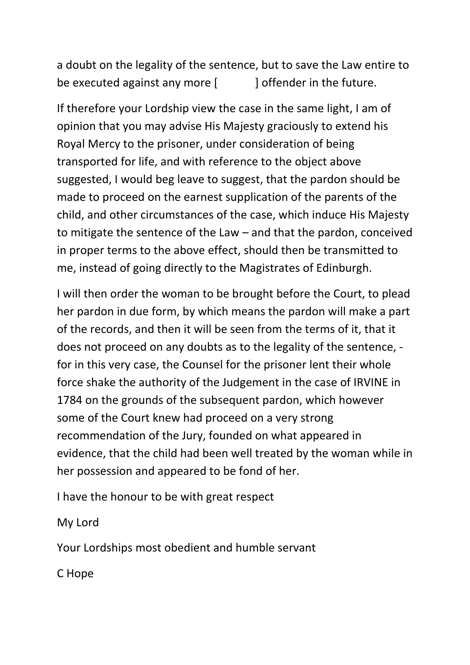a doubt on the legality of the sentence, but to save the Law entire to be executed against any more  $\begin{bmatrix} 1 & 1 \end{bmatrix}$  offender in the future.

If therefore your Lordship view the case in the same light, I am of opinion that you may advise His Majesty graciously to extend his Royal Mercy to the prisoner, under consideration of being transported for life, and with reference to the object above suggested, I would beg leave to suggest, that the pardon should be made to proceed on the earnest supplication of the parents of the child, and other circumstances of the case, which induce His Majesty to mitigate the sentence of the Law – and that the pardon, conceived in proper terms to the above effect, should then be transmitted to me, instead of going directly to the Magistrates of Edinburgh.

I will then order the woman to be brought before the Court, to plead her pardon in due form, by which means the pardon will make a part of the records, and then it will be seen from the terms of it, that it does not proceed on any doubts as to the legality of the sentence, for in this very case, the Counsel for the prisoner lent their whole force shake the authority of the Judgement in the case of IRVINE in 1784 on the grounds of the subsequent pardon, which however some of the Court knew had proceed on a very strong recommendation of the Jury, founded on what appeared in evidence, that the child had been well treated by the woman while in her possession and appeared to be fond of her.

I have the honour to be with great respect

My Lord

Your Lordships most obedient and humble servant

C Hope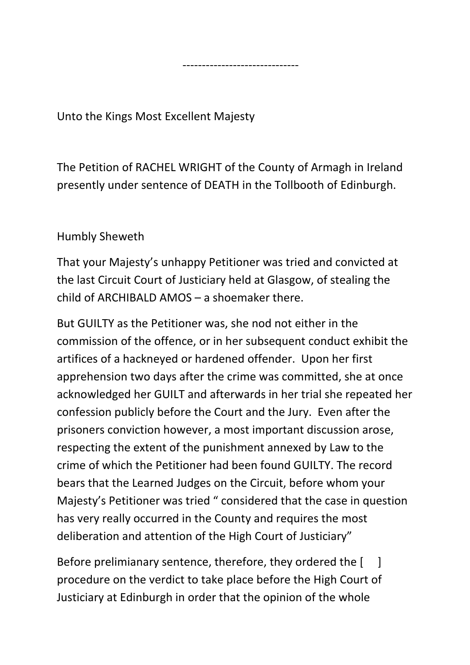Unto the Kings Most Excellent Majesty

The Petition of RACHEL WRIGHT of the County of Armagh in Ireland presently under sentence of DEATH in the Tollbooth of Edinburgh.

------------------------------

## Humbly Sheweth

That your Majesty's unhappy Petitioner was tried and convicted at the last Circuit Court of Justiciary held at Glasgow, of stealing the child of ARCHIBALD AMOS – a shoemaker there.

But GUILTY as the Petitioner was, she nod not either in the commission of the offence, or in her subsequent conduct exhibit the artifices of a hackneyed or hardened offender. Upon her first apprehension two days after the crime was committed, she at once acknowledged her GUILT and afterwards in her trial she repeated her confession publicly before the Court and the Jury. Even after the prisoners conviction however, a most important discussion arose, respecting the extent of the punishment annexed by Law to the crime of which the Petitioner had been found GUILTY. The record bears that the Learned Judges on the Circuit, before whom your Majesty's Petitioner was tried " considered that the case in question has very really occurred in the County and requires the most deliberation and attention of the High Court of Justiciary"

Before prelimianary sentence, therefore, they ordered the  $\begin{bmatrix} 1 \end{bmatrix}$ procedure on the verdict to take place before the High Court of Justiciary at Edinburgh in order that the opinion of the whole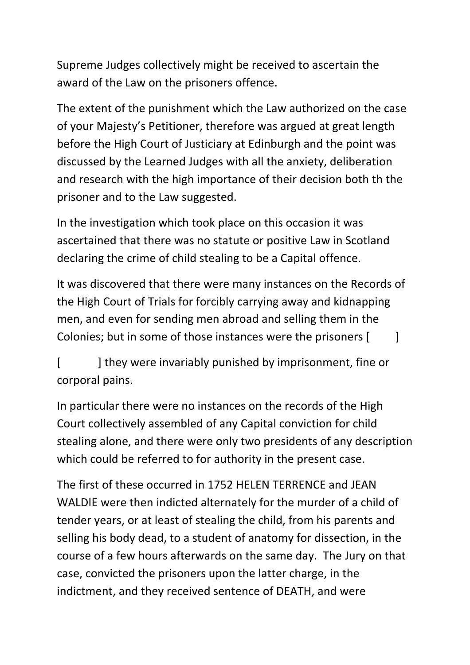Supreme Judges collectively might be received to ascertain the award of the Law on the prisoners offence.

The extent of the punishment which the Law authorized on the case of your Majesty's Petitioner, therefore was argued at great length before the High Court of Justiciary at Edinburgh and the point was discussed by the Learned Judges with all the anxiety, deliberation and research with the high importance of their decision both th the prisoner and to the Law suggested.

In the investigation which took place on this occasion it was ascertained that there was no statute or positive Law in Scotland declaring the crime of child stealing to be a Capital offence.

It was discovered that there were many instances on the Records of the High Court of Trials for forcibly carrying away and kidnapping men, and even for sending men abroad and selling them in the Colonies; but in some of those instances were the prisoners [  $\qquad$  ]

[  $\blacksquare$  ] they were invariably punished by imprisonment, fine or corporal pains.

In particular there were no instances on the records of the High Court collectively assembled of any Capital conviction for child stealing alone, and there were only two presidents of any description which could be referred to for authority in the present case.

The first of these occurred in 1752 HELEN TERRENCE and JEAN WALDIE were then indicted alternately for the murder of a child of tender years, or at least of stealing the child, from his parents and selling his body dead, to a student of anatomy for dissection, in the course of a few hours afterwards on the same day. The Jury on that case, convicted the prisoners upon the latter charge, in the indictment, and they received sentence of DEATH, and were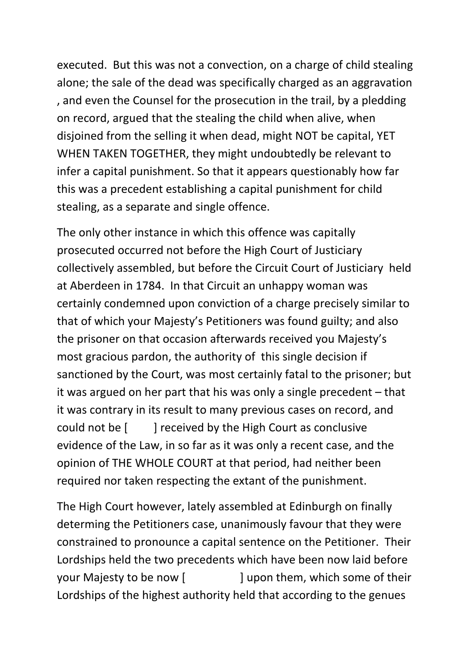executed. But this was not a convection, on a charge of child stealing alone; the sale of the dead was specifically charged as an aggravation , and even the Counsel for the prosecution in the trail, by a pledding on record, argued that the stealing the child when alive, when disjoined from the selling it when dead, might NOT be capital, YET WHEN TAKEN TOGETHER, they might undoubtedly be relevant to infer a capital punishment. So that it appears questionably how far this was a precedent establishing a capital punishment for child stealing, as a separate and single offence.

The only other instance in which this offence was capitally prosecuted occurred not before the High Court of Justiciary collectively assembled, but before the Circuit Court of Justiciary held at Aberdeen in 1784. In that Circuit an unhappy woman was certainly condemned upon conviction of a charge precisely similar to that of which your Majesty's Petitioners was found guilty; and also the prisoner on that occasion afterwards received you Majesty's most gracious pardon, the authority of this single decision if sanctioned by the Court, was most certainly fatal to the prisoner; but it was argued on her part that his was only a single precedent – that it was contrary in its result to many previous cases on record, and could not be [ ] received by the High Court as conclusive evidence of the Law, in so far as it was only a recent case, and the opinion of THE WHOLE COURT at that period, had neither been required nor taken respecting the extant of the punishment.

The High Court however, lately assembled at Edinburgh on finally determing the Petitioners case, unanimously favour that they were constrained to pronounce a capital sentence on the Petitioner. Their Lordships held the two precedents which have been now laid before your Majesty to be now [ ] upon them, which some of their Lordships of the highest authority held that according to the genues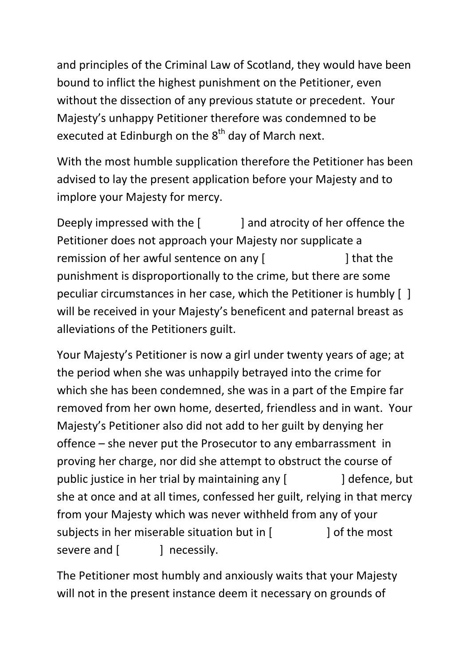and principles of the Criminal Law of Scotland, they would have been bound to inflict the highest punishment on the Petitioner, even without the dissection of any previous statute or precedent. Your Majesty's unhappy Petitioner therefore was condemned to be executed at Edinburgh on the  $8<sup>th</sup>$  day of March next.

With the most humble supplication therefore the Petitioner has been advised to lay the present application before your Majesty and to implore your Majesty for mercy.

Deeply impressed with the [ ] and atrocity of her offence the Petitioner does not approach your Majesty nor supplicate a remission of her awful sentence on any [  $\qquad$  ] that the punishment is disproportionally to the crime, but there are some peculiar circumstances in her case, which the Petitioner is humbly [ ] will be received in your Majesty's beneficent and paternal breast as alleviations of the Petitioners guilt.

Your Majesty's Petitioner is now a girl under twenty years of age; at the period when she was unhappily betrayed into the crime for which she has been condemned, she was in a part of the Empire far removed from her own home, deserted, friendless and in want. Your Majesty's Petitioner also did not add to her guilt by denying her offence – she never put the Prosecutor to any embarrassment in proving her charge, nor did she attempt to obstruct the course of public justice in her trial by maintaining any [ ] defence, but she at once and at all times, confessed her guilt, relying in that mercy from your Majesty which was never withheld from any of your subjects in her miserable situation but in [ ] of the most severe and [ ] necessily.

The Petitioner most humbly and anxiously waits that your Majesty will not in the present instance deem it necessary on grounds of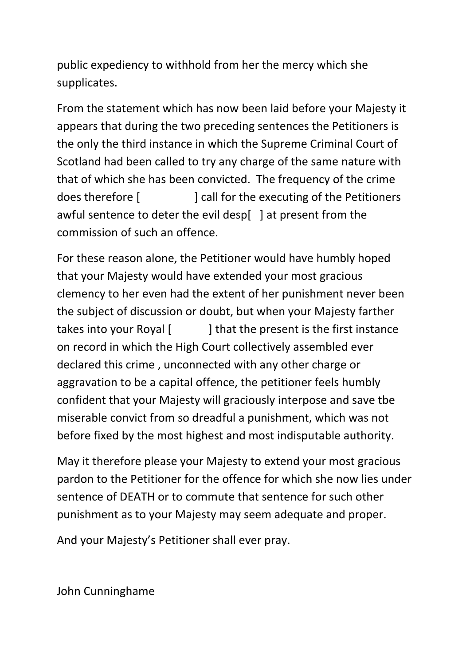public expediency to withhold from her the mercy which she supplicates.

From the statement which has now been laid before your Majesty it appears that during the two preceding sentences the Petitioners is the only the third instance in which the Supreme Criminal Court of Scotland had been called to try any charge of the same nature with that of which she has been convicted. The frequency of the crime does therefore [ ] call for the executing of the Petitioners awful sentence to deter the evil desp[ ] at present from the commission of such an offence.

For these reason alone, the Petitioner would have humbly hoped that your Majesty would have extended your most gracious clemency to her even had the extent of her punishment never been the subject of discussion or doubt, but when your Majesty farther takes into your Royal [ ] that the present is the first instance on record in which the High Court collectively assembled ever declared this crime , unconnected with any other charge or aggravation to be a capital offence, the petitioner feels humbly confident that your Majesty will graciously interpose and save tbe miserable convict from so dreadful a punishment, which was not before fixed by the most highest and most indisputable authority.

May it therefore please your Majesty to extend your most gracious pardon to the Petitioner for the offence for which she now lies under sentence of DEATH or to commute that sentence for such other punishment as to your Majesty may seem adequate and proper.

And your Majesty's Petitioner shall ever pray.

John Cunninghame